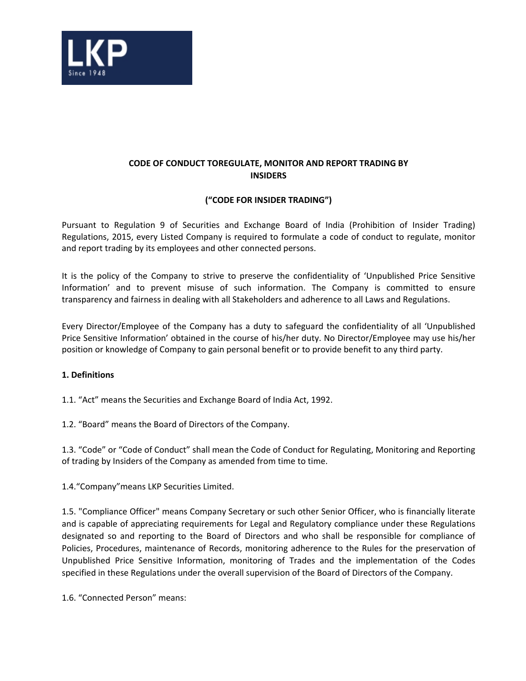

# **CODE OF CONDUCT TOREGULATE, MONITOR AND REPORT TRADING BY INSIDERS**

## **("CODE FOR INSIDER TRADING")**

Pursuant to Regulation 9 of Securities and Exchange Board of India (Prohibition of Insider Trading) Regulations, 2015, every Listed Company is required to formulate a code of conduct to regulate, monitor and report trading by its employees and other connected persons.

It is the policy of the Company to strive to preserve the confidentiality of 'Unpublished Price Sensitive Information' and to prevent misuse of such information. The Company is committed to ensure transparency and fairness in dealing with all Stakeholders and adherence to all Laws and Regulations.

Every Director/Employee of the Company has a duty to safeguard the confidentiality of all 'Unpublished Price Sensitive Information' obtained in the course of his/her duty. No Director/Employee may use his/her position or knowledge of Company to gain personal benefit or to provide benefit to any third party.

### **1. Definitions**

1.1. "Act" means the Securities and Exchange Board of India Act, 1992.

1.2. "Board" means the Board of Directors of the Company.

1.3. "Code" or "Code of Conduct" shall mean the Code of Conduct for Regulating, Monitoring and Reporting of trading by Insiders of the Company as amended from time to time.

1.4."Company"means LKP Securities Limited.

1.5. "Compliance Officer" means Company Secretary or such other Senior Officer, who is financially literate and is capable of appreciating requirements for Legal and Regulatory compliance under these Regulations designated so and reporting to the Board of Directors and who shall be responsible for compliance of Policies, Procedures, maintenance of Records, monitoring adherence to the Rules for the preservation of Unpublished Price Sensitive Information, monitoring of Trades and the implementation of the Codes specified in these Regulations under the overall supervision of the Board of Directors of the Company.

1.6. "Connected Person" means: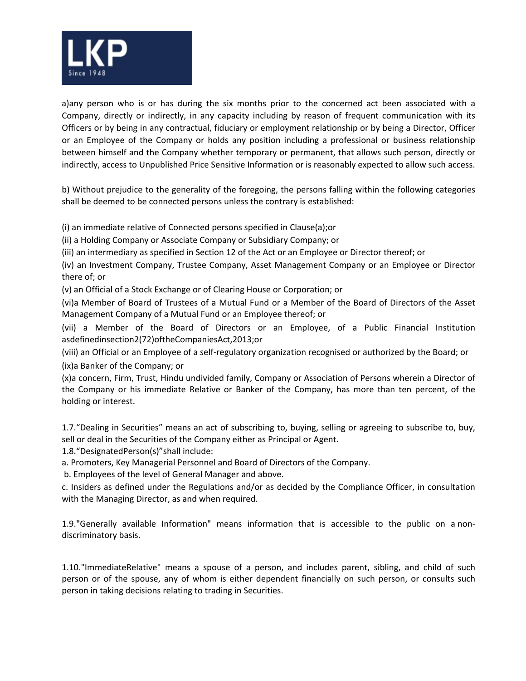

a)any person who is or has during the six months prior to the concerned act been associated with a Company, directly or indirectly, in any capacity including by reason of frequent communication with its Officers or by being in any contractual, fiduciary or employment relationship or by being a Director, Officer or an Employee of the Company or holds any position including a professional or business relationship between himself and the Company whether temporary or permanent, that allows such person, directly or indirectly, access to Unpublished Price Sensitive Information or is reasonably expected to allow such access.

b) Without prejudice to the generality of the foregoing, the persons falling within the following categories shall be deemed to be connected persons unless the contrary is established:

(i) an immediate relative of Connected persons specified in Clause(a);or

(ii) a Holding Company or Associate Company or Subsidiary Company; or

(iii) an intermediary as specified in Section 12 of the Act or an Employee or Director thereof; or

(iv) an Investment Company, Trustee Company, Asset Management Company or an Employee or Director there of; or

(v) an Official of a Stock Exchange or of Clearing House or Corporation; or

(vi)a Member of Board of Trustees of a Mutual Fund or a Member of the Board of Directors of the Asset Management Company of a Mutual Fund or an Employee thereof; or

(vii) a Member of the Board of Directors or an Employee, of a Public Financial Institution asdefinedinsection2(72)oftheCompaniesAct,2013;or

(viii) an Official or an Employee of a self‐regulatory organization recognised or authorized by the Board; or (ix)a Banker of the Company; or

(x)a concern, Firm, Trust, Hindu undivided family, Company or Association of Persons wherein a Director of the Company or his immediate Relative or Banker of the Company, has more than ten percent, of the holding or interest.

1.7."Dealing in Securities" means an act of subscribing to, buying, selling or agreeing to subscribe to, buy, sell or deal in the Securities of the Company either as Principal or Agent.

1.8."DesignatedPerson(s)"shall include:

a. Promoters, Key Managerial Personnel and Board of Directors of the Company.

b. Employees of the level of General Manager and above.

c. Insiders as defined under the Regulations and/or as decided by the Compliance Officer, in consultation with the Managing Director, as and when required.

1.9."Generally available Information" means information that is accessible to the public on a non‐ discriminatory basis.

1.10."ImmediateRelative" means a spouse of a person, and includes parent, sibling, and child of such person or of the spouse, any of whom is either dependent financially on such person, or consults such person in taking decisions relating to trading in Securities.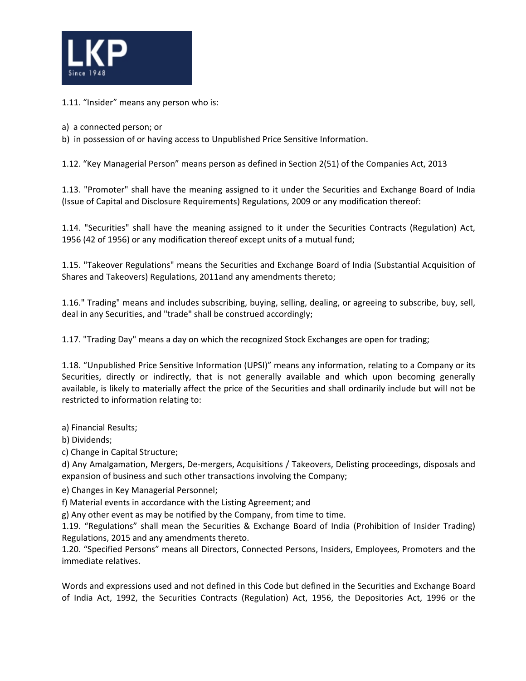

1.11. "Insider" means any person who is:

a) a connected person; or

b) in possession of or having access to Unpublished Price Sensitive Information.

1.12. "Key Managerial Person" means person as defined in Section 2(51) of the Companies Act, 2013

1.13. "Promoter" shall have the meaning assigned to it under the Securities and Exchange Board of India (Issue of Capital and Disclosure Requirements) Regulations, 2009 or any modification thereof:

1.14. "Securities" shall have the meaning assigned to it under the Securities Contracts (Regulation) Act, 1956 (42 of 1956) or any modification thereof except units of a mutual fund;

1.15. "Takeover Regulations" means the Securities and Exchange Board of India (Substantial Acquisition of Shares and Takeovers) Regulations, 2011and any amendments thereto;

1.16." Trading" means and includes subscribing, buying, selling, dealing, or agreeing to subscribe, buy, sell, deal in any Securities, and "trade" shall be construed accordingly;

1.17. "Trading Day" means a day on which the recognized Stock Exchanges are open for trading;

1.18. "Unpublished Price Sensitive Information (UPSI)" means any information, relating to a Company or its Securities, directly or indirectly, that is not generally available and which upon becoming generally available, is likely to materially affect the price of the Securities and shall ordinarily include but will not be restricted to information relating to:

a) Financial Results;

b) Dividends;

c) Change in Capital Structure;

d) Any Amalgamation, Mergers, De‐mergers, Acquisitions / Takeovers, Delisting proceedings, disposals and expansion of business and such other transactions involving the Company;

e) Changes in Key Managerial Personnel;

f) Material events in accordance with the Listing Agreement; and

g) Any other event as may be notified by the Company, from time to time.

1.19. "Regulations" shall mean the Securities & Exchange Board of India (Prohibition of Insider Trading) Regulations, 2015 and any amendments thereto.

1.20. "Specified Persons" means all Directors, Connected Persons, Insiders, Employees, Promoters and the immediate relatives.

Words and expressions used and not defined in this Code but defined in the Securities and Exchange Board of India Act, 1992, the Securities Contracts (Regulation) Act, 1956, the Depositories Act, 1996 or the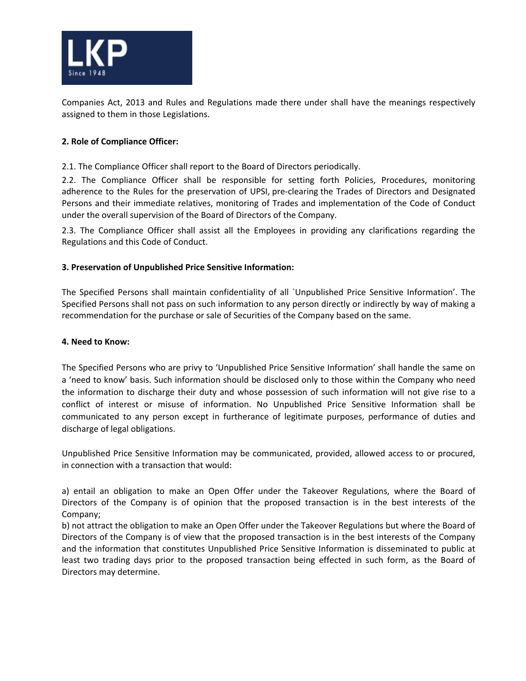

Companies Act, 2013 and Rules and Regulations made there under shall have the meanings respectively assigned to them in those Legislations.

# **2. Role of Compliance Officer:**

2.1. The Compliance Officer shall report to the Board of Directors periodically.

2.2. The Compliance Officer shall be responsible for setting forth Policies, Procedures, monitoring adherence to the Rules for the preservation of UPSI, pre‐clearing the Trades of Directors and Designated Persons and their immediate relatives, monitoring of Trades and implementation of the Code of Conduct under the overall supervision of the Board of Directors of the Company.

2.3. The Compliance Officer shall assist all the Employees in providing any clarifications regarding the Regulations and this Code of Conduct.

### **3. Preservation of Unpublished Price Sensitive Information:**

The Specified Persons shall maintain confidentiality of all `Unpublished Price Sensitive Information'. The Specified Persons shall not pass on such information to any person directly or indirectly by way of making a recommendation for the purchase or sale of Securities of the Company based on the same.

#### **4. Need to Know:**

The Specified Persons who are privy to 'Unpublished Price Sensitive Information' shall handle the same on a 'need to know' basis. Such information should be disclosed only to those within the Company who need the information to discharge their duty and whose possession of such information will not give rise to a conflict of interest or misuse of information. No Unpublished Price Sensitive Information shall be communicated to any person except in furtherance of legitimate purposes, performance of duties and discharge of legal obligations.

Unpublished Price Sensitive Information may be communicated, provided, allowed access to or procured, in connection with a transaction that would:

a) entail an obligation to make an Open Offer under the Takeover Regulations, where the Board of Directors of the Company is of opinion that the proposed transaction is in the best interests of the Company;

b) not attract the obligation to make an Open Offer under the Takeover Regulations but where the Board of Directors of the Company is of view that the proposed transaction is in the best interests of the Company and the information that constitutes Unpublished Price Sensitive Information is disseminated to public at least two trading days prior to the proposed transaction being effected in such form, as the Board of Directors may determine.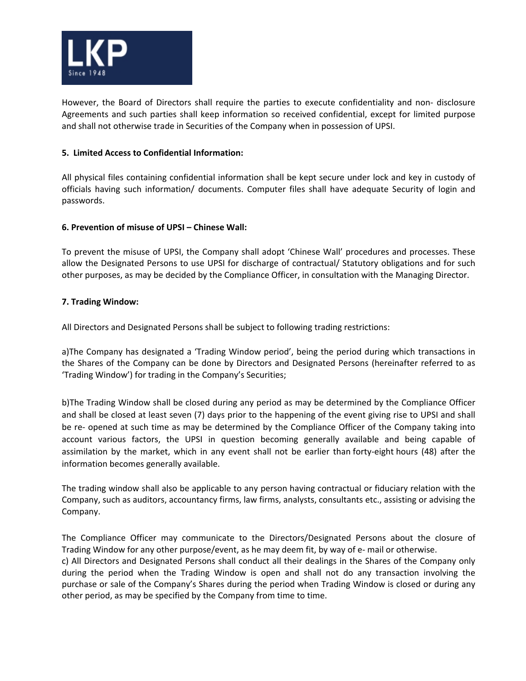

However, the Board of Directors shall require the parties to execute confidentiality and non‐ disclosure Agreements and such parties shall keep information so received confidential, except for limited purpose and shall not otherwise trade in Securities of the Company when in possession of UPSI.

## **5. Limited Access to Confidential Information:**

All physical files containing confidential information shall be kept secure under lock and key in custody of officials having such information/ documents. Computer files shall have adequate Security of login and passwords.

## **6. Prevention of misuse of UPSI – Chinese Wall:**

To prevent the misuse of UPSI, the Company shall adopt 'Chinese Wall' procedures and processes. These allow the Designated Persons to use UPSI for discharge of contractual/ Statutory obligations and for such other purposes, as may be decided by the Compliance Officer, in consultation with the Managing Director.

## **7. Trading Window:**

All Directors and Designated Persons shall be subject to following trading restrictions:

a)The Company has designated a 'Trading Window period', being the period during which transactions in the Shares of the Company can be done by Directors and Designated Persons (hereinafter referred to as 'Trading Window') for trading in the Company's Securities;

b)The Trading Window shall be closed during any period as may be determined by the Compliance Officer and shall be closed at least seven (7) days prior to the happening of the event giving rise to UPSI and shall be re- opened at such time as may be determined by the Compliance Officer of the Company taking into account various factors, the UPSI in question becoming generally available and being capable of assimilation by the market, which in any event shall not be earlier than forty-eight hours (48) after the information becomes generally available.

The trading window shall also be applicable to any person having contractual or fiduciary relation with the Company, such as auditors, accountancy firms, law firms, analysts, consultants etc., assisting or advising the Company.

The Compliance Officer may communicate to the Directors/Designated Persons about the closure of Trading Window for any other purpose/event, as he may deem fit, by way of e‐ mail or otherwise.

c) All Directors and Designated Persons shall conduct all their dealings in the Shares of the Company only during the period when the Trading Window is open and shall not do any transaction involving the purchase or sale of the Company's Shares during the period when Trading Window is closed or during any other period, as may be specified by the Company from time to time.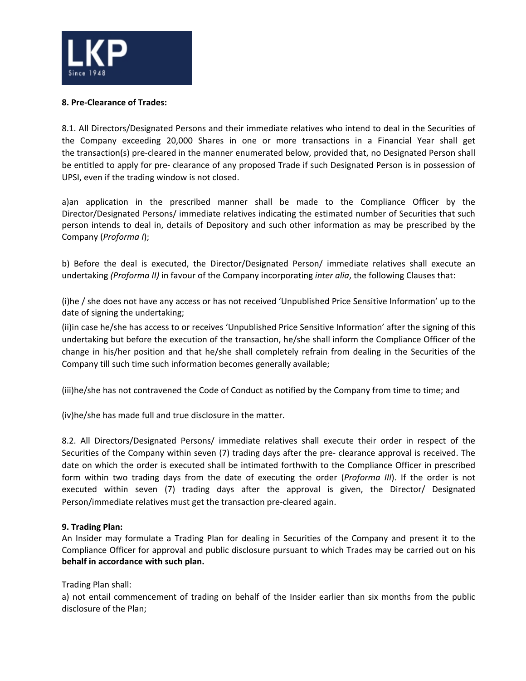

#### **8. Pre‐Clearance of Trades:**

8.1. All Directors/Designated Persons and their immediate relatives who intend to deal in the Securities of the Company exceeding 20,000 Shares in one or more transactions in a Financial Year shall get the transaction(s) pre‐cleared in the manner enumerated below, provided that, no Designated Person shall be entitled to apply for pre- clearance of any proposed Trade if such Designated Person is in possession of UPSI, even if the trading window is not closed.

a)an application in the prescribed manner shall be made to the Compliance Officer by the Director/Designated Persons/ immediate relatives indicating the estimated number of Securities that such person intends to deal in, details of Depository and such other information as may be prescribed by the Company (*Proforma I*);

b) Before the deal is executed, the Director/Designated Person/ immediate relatives shall execute an undertaking *(Proforma II)* in favour of the Company incorporating *inter alia*, the following Clauses that:

(i)he / she does not have any access or has not received 'Unpublished Price Sensitive Information' up to the date of signing the undertaking;

(ii)in case he/she has access to or receives 'Unpublished Price Sensitive Information' after the signing of this undertaking but before the execution of the transaction, he/she shall inform the Compliance Officer of the change in his/her position and that he/she shall completely refrain from dealing in the Securities of the Company till such time such information becomes generally available;

(iii)he/she has not contravened the Code of Conduct as notified by the Company from time to time; and

(iv)he/she has made full and true disclosure in the matter.

8.2. All Directors/Designated Persons/ immediate relatives shall execute their order in respect of the Securities of the Company within seven (7) trading days after the pre‐ clearance approval is received. The date on which the order is executed shall be intimated forthwith to the Compliance Officer in prescribed form within two trading days from the date of executing the order (*Proforma III*). If the order is not executed within seven (7) trading days after the approval is given, the Director/ Designated Person/immediate relatives must get the transaction pre‐cleared again.

### **9. Trading Plan:**

An Insider may formulate a Trading Plan for dealing in Securities of the Company and present it to the Compliance Officer for approval and public disclosure pursuant to which Trades may be carried out on his **behalf in accordance with such plan.**

### Trading Plan shall:

a) not entail commencement of trading on behalf of the Insider earlier than six months from the public disclosure of the Plan;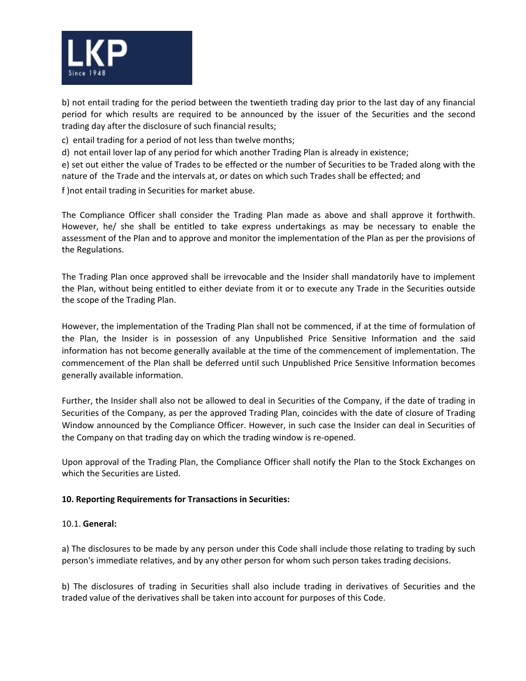

b) not entail trading for the period between the twentieth trading day prior to the last day of any financial period for which results are required to be announced by the issuer of the Securities and the second trading day after the disclosure of such financial results;

c) entail trading for a period of not less than twelve months;

d) not entail lover lap of any period for which another Trading Plan is already in existence;

e) set out either the value of Trades to be effected or the number of Securities to be Traded along with the nature of the Trade and the intervals at, or dates on which such Trades shall be effected; and

f )not entail trading in Securities for market abuse.

The Compliance Officer shall consider the Trading Plan made as above and shall approve it forthwith. However, he/ she shall be entitled to take express undertakings as may be necessary to enable the assessment of the Plan and to approve and monitor the implementation of the Plan as per the provisions of the Regulations.

The Trading Plan once approved shall be irrevocable and the Insider shall mandatorily have to implement the Plan, without being entitled to either deviate from it or to execute any Trade in the Securities outside the scope of the Trading Plan.

However, the implementation of the Trading Plan shall not be commenced, if at the time of formulation of the Plan, the Insider is in possession of any Unpublished Price Sensitive Information and the said information has not become generally available at the time of the commencement of implementation. The commencement of the Plan shall be deferred until such Unpublished Price Sensitive Information becomes generally available information.

Further, the Insider shall also not be allowed to deal in Securities of the Company, if the date of trading in Securities of the Company, as per the approved Trading Plan, coincides with the date of closure of Trading Window announced by the Compliance Officer. However, in such case the Insider can deal in Securities of the Company on that trading day on which the trading window is re‐opened.

Upon approval of the Trading Plan, the Compliance Officer shall notify the Plan to the Stock Exchanges on which the Securities are Listed.

### **10. Reporting Requirements for Transactions in Securities:**

### 10.1. **General:**

a) The disclosures to be made by any person under this Code shall include those relating to trading by such person's immediate relatives, and by any other person for whom such person takes trading decisions.

b) The disclosures of trading in Securities shall also include trading in derivatives of Securities and the traded value of the derivatives shall be taken into account for purposes of this Code.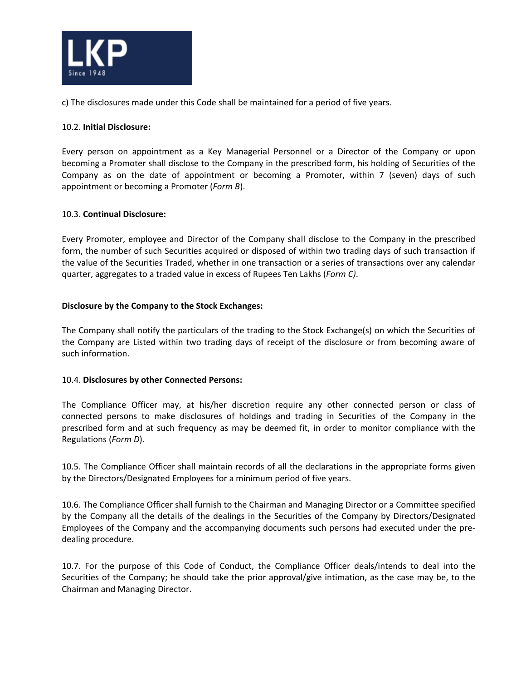

c) The disclosures made under this Code shall be maintained for a period of five years.

### 10.2. **Initial Disclosure:**

Every person on appointment as a Key Managerial Personnel or a Director of the Company or upon becoming a Promoter shall disclose to the Company in the prescribed form, his holding of Securities of the Company as on the date of appointment or becoming a Promoter, within 7 (seven) days of such appointment or becoming a Promoter (*Form B*).

#### 10.3. **Continual Disclosure:**

Every Promoter, employee and Director of the Company shall disclose to the Company in the prescribed form, the number of such Securities acquired or disposed of within two trading days of such transaction if the value of the Securities Traded, whether in one transaction or a series of transactions over any calendar quarter, aggregates to a traded value in excess of Rupees Ten Lakhs (*Form C)*.

#### **Disclosure by the Company to the Stock Exchanges:**

The Company shall notify the particulars of the trading to the Stock Exchange(s) on which the Securities of the Company are Listed within two trading days of receipt of the disclosure or from becoming aware of such information.

#### 10.4. **Disclosures by other Connected Persons:**

The Compliance Officer may, at his/her discretion require any other connected person or class of connected persons to make disclosures of holdings and trading in Securities of the Company in the prescribed form and at such frequency as may be deemed fit, in order to monitor compliance with the Regulations (*Form D*).

10.5. The Compliance Officer shall maintain records of all the declarations in the appropriate forms given by the Directors/Designated Employees for a minimum period of five years.

10.6. The Compliance Officer shall furnish to the Chairman and Managing Director or a Committee specified by the Company all the details of the dealings in the Securities of the Company by Directors/Designated Employees of the Company and the accompanying documents such persons had executed under the pre‐ dealing procedure.

10.7. For the purpose of this Code of Conduct, the Compliance Officer deals/intends to deal into the Securities of the Company; he should take the prior approval/give intimation, as the case may be, to the Chairman and Managing Director.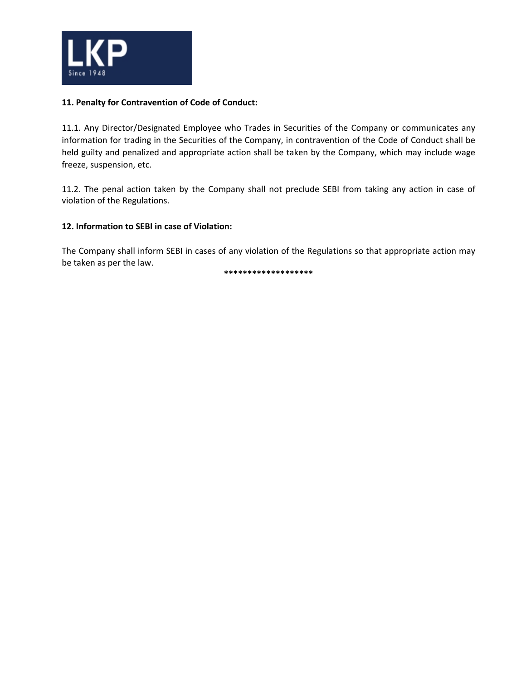

### **11. Penalty for Contravention of Code of Conduct:**

11.1. Any Director/Designated Employee who Trades in Securities of the Company or communicates any information for trading in the Securities of the Company, in contravention of the Code of Conduct shall be held guilty and penalized and appropriate action shall be taken by the Company, which may include wage freeze, suspension, etc.

11.2. The penal action taken by the Company shall not preclude SEBI from taking any action in case of violation of the Regulations.

## **12. Information to SEBI in case of Violation:**

The Company shall inform SEBI in cases of any violation of the Regulations so that appropriate action may be taken as per the law.

**\*\*\*\*\*\*\*\*\*\*\*\*\*\*\*\*\*\*\***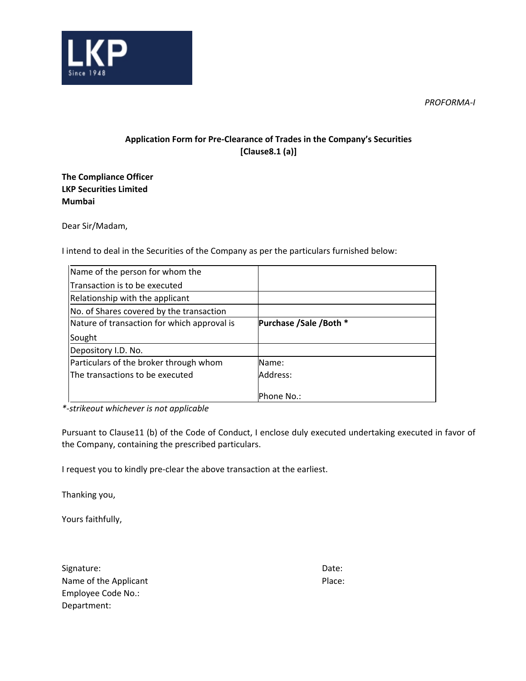

*PROFORMA‐I*

# **Application Form for Pre‐Clearance of Trades in the Company's Securities [Clause8.1 (a)]**

**The Compliance Officer LKP Securities Limited Mumbai**

Dear Sir/Madam,

I intend to deal in the Securities of the Company as per the particulars furnished below:

| Name of the person for whom the             |                        |
|---------------------------------------------|------------------------|
| Transaction is to be executed               |                        |
| Relationship with the applicant             |                        |
| No. of Shares covered by the transaction    |                        |
| Nature of transaction for which approval is | Purchase /Sale /Both * |
| Sought                                      |                        |
| Depository I.D. No.                         |                        |
| Particulars of the broker through whom      | Name:                  |
| The transactions to be executed             | Address:               |
|                                             |                        |
|                                             | lPhone No.:            |

*\*‐strikeout whichever is not applicable*

Pursuant to Clause11 (b) of the Code of Conduct, I enclose duly executed undertaking executed in favor of the Company, containing the prescribed particulars.

I request you to kindly pre‐clear the above transaction at the earliest.

Thanking you,

Yours faithfully,

Signature: Date: Date: Date: Date: Date: Date: Date: Date: Date: Date: Date: Date: Date: Date: Date: Date: Date: Date: Date: Date: Date: Date: Date: Date: Date: Date: Date: Date: Date: Date: Date: Date: Date: Date: Date: D Name of the Applicant **Name of the Applicant** Employee Code No.: Department: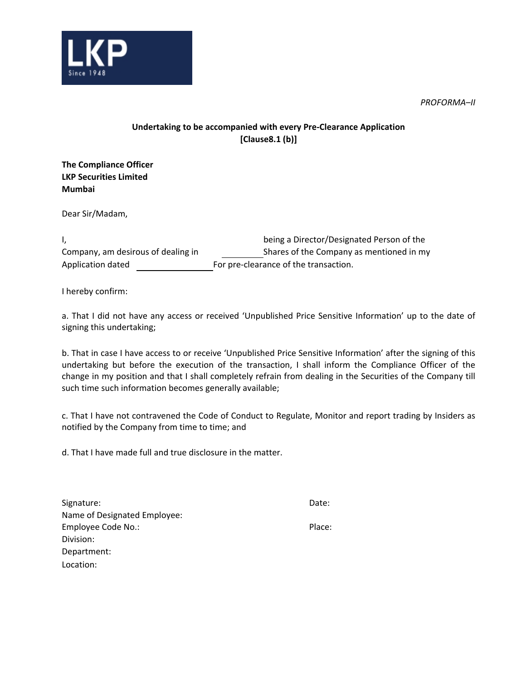

*PROFORMA–II*

# **Undertaking to be accompanied with every Pre‐Clearance Application [Clause8.1 (b)]**

**The Compliance Officer LKP Securities Limited Mumbai**

Dear Sir/Madam,

I, **I**, **I**, *I* **being a Director/Designated Person of the** Company, am desirous of dealing in **Shares of the Company as mentioned in my** Application dated For pre-clearance of the transaction.

I hereby confirm:

a. That I did not have any access or received 'Unpublished Price Sensitive Information' up to the date of signing this undertaking;

b. That in case I have access to or receive 'Unpublished Price Sensitive Information' after the signing of this undertaking but before the execution of the transaction, I shall inform the Compliance Officer of the change in my position and that I shall completely refrain from dealing in the Securities of the Company till such time such information becomes generally available;

c. That I have not contravened the Code of Conduct to Regulate, Monitor and report trading by Insiders as notified by the Company from time to time; and

d. That I have made full and true disclosure in the matter.

| Signature:                   | Date:  |
|------------------------------|--------|
| Name of Designated Employee: |        |
| Employee Code No.:           | Place: |
| Division:                    |        |
| Department:                  |        |
| Location:                    |        |